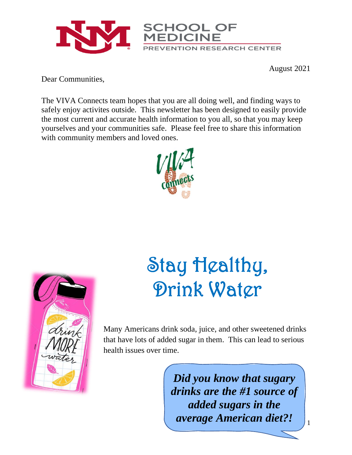

August 2021

Dear Communities,

The VIVA Connects team hopes that you are all doing well, and finding ways to safely enjoy activites outside. This newsletter has been designed to easily provide the most current and accurate health information to you all, so that you may keep yourselves and your communities safe. Please feel free to share this information with community members and loved ones.





## Stay Healthy, Drink Water

Many Americans drink soda, juice, and other sweetened drinks that have lots of added sugar in them. This can lead to serious health issues over time.

> *Did you know that sugary drinks are the #1 source of added sugars in the average American diet?!*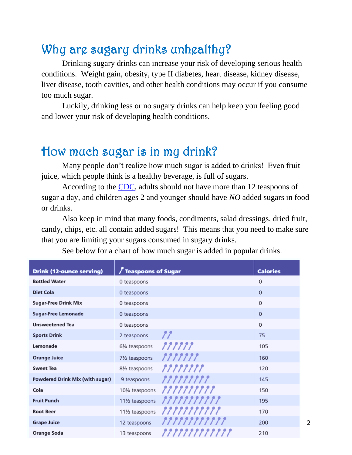### Why are sugary drinks unhealthy?

Drinking sugary drinks can increase your risk of developing serious health conditions. Weight gain, obesity, type II diabetes, heart disease, kidney disease, liver disease, tooth cavities, and other health conditions may occur if you consume too much sugar.

Luckily, drinking less or no sugary drinks can help keep you feeling good and lower your risk of developing health conditions.

#### How much sugar is in my drink?

Many people don't realize how much sugar is added to drinks! Even fruit juice, which people think is a healthy beverage, is full of sugars.

According to the [CDC,](https://www.cdc.gov/nutrition/data-statistics/added-sugars.html) adults should not have more than 12 teaspoons of sugar a day, and children ages 2 and younger should have *NO* added sugars in food or drinks.

Also keep in mind that many foods, condiments, salad dressings, dried fruit, candy, chips, etc. all contain added sugars! This means that you need to make sure that you are limiting your sugars consumed in sugary drinks.

| <b>Drink (12-ounce serving)</b> | $\sqrt{\ }$ Teaspoons of Sugar |               | <b>Calories</b> |
|---------------------------------|--------------------------------|---------------|-----------------|
| <b>Bottled Water</b>            | 0 teaspoons                    |               | $\Omega$        |
| <b>Diet Cola</b>                | 0 teaspoons                    |               | $\Omega$        |
| <b>Sugar-Free Drink Mix</b>     | 0 teaspoons                    |               | $\Omega$        |
| <b>Sugar-Free Lemonade</b>      | 0 teaspoons                    |               | $\Omega$        |
| <b>Unsweetened Tea</b>          | 0 teaspoons                    |               | $\Omega$        |
| <b>Sports Drink</b>             | 2 teaspoons                    | 77            | 75              |
| Lemonade                        | 61/4 teaspoons                 | ,,,,,,        | 105             |
| <b>Orange Juice</b>             | 71/2 teaspoons                 | ,,,,,,,,      | 160             |
| <b>Sweet Tea</b>                | 81/ <sub>2</sub> teaspoons     | ,,,,,,,,,     | 120             |
| Powdered Drink Mix (with sugar) | 9 teaspoons                    | ,,,,,,,,,,    | 145             |
| Cola                            | 101/4 teaspoons                | ,,,,,,,,,,,   | 150             |
| <b>Fruit Punch</b>              | 111/2 teaspoons                | ,,,,,,,,,,,,  | 195             |
| <b>Root Beer</b>                | 111/2 teaspoons                | ,,,,,,,,,,,,  | 170             |
| <b>Grape Juice</b>              | 12 teaspoons                   | ,,,,,,,,,,,,  | 200             |
| Orange Soda                     | 13 teaspoons                   | 7777777777777 | 210             |

See below for a chart of how much sugar is added in popular drinks.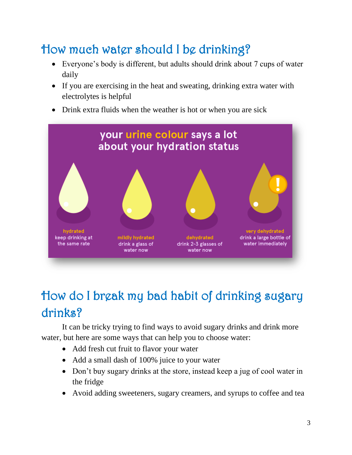## How much water should I be drinking?

- Everyone's body is different, but adults should drink about 7 cups of water daily
- If you are exercising in the heat and sweating, drinking extra water with electrolytes is helpful
- Drink extra fluids when the weather is hot or when you are sick



## How do I break my bad habit of drinking sugary drinks?

It can be tricky trying to find ways to avoid sugary drinks and drink more water, but here are some ways that can help you to choose water:

- Add fresh cut fruit to flavor your water
- Add a small dash of 100% juice to your water
- Don't buy sugary drinks at the store, instead keep a jug of cool water in the fridge
- Avoid adding sweeteners, sugary creamers, and syrups to coffee and tea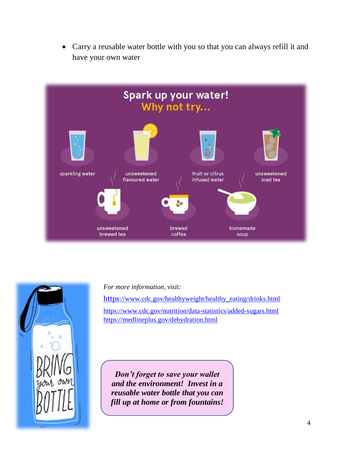• Carry a reusable water bottle with you so that you can always refill it and have your own water



*For more information, visit:* 

[https](https://www.cdc.gov/healthyweight/healthy_eating/drinks.html)[://www.cdc.gov/healthyweight/healthy\\_eating/drinks.html](https://www.cdc.gov/healthyweight/healthy_eating/drinks.html) <https://www.cdc.gov/nutrition/data-statistics/added-sugars.html> <https://medlineplus.gov/dehydration.html>

*Don't forget to save your wallet and the environment! Invest in a reusable water bottle that you can fill up at home or from fountains!*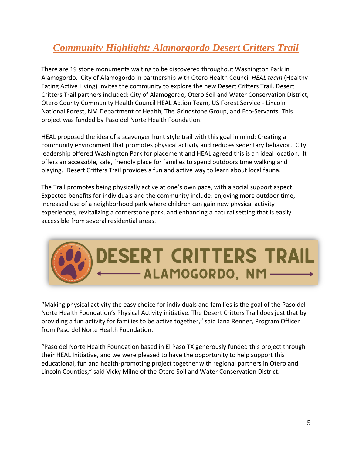#### *Community Highlight: Alamorgordo Desert Critters Trail*

There are 19 stone monuments waiting to be discovered throughout Washington Park in Alamogordo. City of Alamogordo in partnership with Otero Health Council *HEAL team* (Healthy Eating Active Living) invites the community to explore the new Desert Critters Trail. Desert Critters Trail partners included: City of Alamogordo, Otero Soil and Water Conservation District, Otero County Community Health Council HEAL Action Team, US Forest Service - Lincoln National Forest, NM Department of Health, The Grindstone Group, and Eco-Servants. This project was funded by Paso del Norte Health Foundation.

HEAL proposed the idea of a scavenger hunt style trail with this goal in mind: Creating a community environment that promotes physical activity and reduces sedentary behavior. City leadership offered Washington Park for placement and HEAL agreed this is an ideal location. It offers an accessible, safe, friendly place for families to spend outdoors time walking and playing. Desert Critters Trail provides a fun and active way to learn about local fauna.

The Trail promotes being physically active at one's own pace, with a social support aspect. Expected benefits for individuals and the community include: enjoying more outdoor time, increased use of a neighborhood park where children can gain new physical activity experiences, revitalizing a cornerstone park, and enhancing a natural setting that is easily accessible from several residential areas.

# **DESERT CRITTERS TRAIL** -ALAMOGORDO, NM-

"Making physical activity the easy choice for individuals and families is the goal of the Paso del Norte Health Foundation's Physical Activity initiative. The Desert Critters Trail does just that by providing a fun activity for families to be active together," said Jana Renner, Program Officer from Paso del Norte Health Foundation.

"Paso del Norte Health Foundation based in El Paso TX generously funded this project through their HEAL Initiative, and we were pleased to have the opportunity to help support this educational, fun and health-promoting project together with regional partners in Otero and Lincoln Counties," said Vicky Milne of the Otero Soil and Water Conservation District.